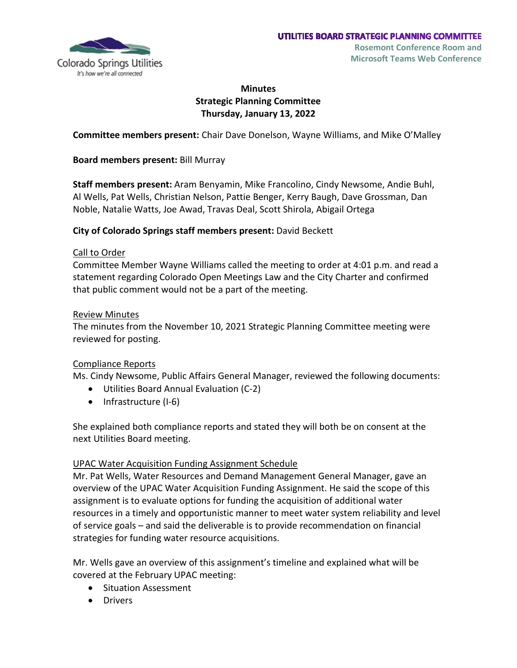

# **Minutes Strategic Planning Committee Thursday, January 13, 2022**

**Committee members present:** Chair Dave Donelson, Wayne Williams, and Mike O'Malley

**Board members present:** Bill Murray

**Staff members present:** Aram Benyamin, Mike Francolino, Cindy Newsome, Andie Buhl, Al Wells, Pat Wells, Christian Nelson, Pattie Benger, Kerry Baugh, Dave Grossman, Dan Noble, Natalie Watts, Joe Awad, Travas Deal, Scott Shirola, Abigail Ortega

#### **City of Colorado Springs staff members present:** David Beckett

#### Call to Order

Committee Member Wayne Williams called the meeting to order at 4:01 p.m. and read a statement regarding Colorado Open Meetings Law and the City Charter and confirmed that public comment would not be a part of the meeting.

#### Review Minutes

The minutes from the November 10, 2021 Strategic Planning Committee meeting were reviewed for posting.

## Compliance Reports

Ms. Cindy Newsome, Public Affairs General Manager, reviewed the following documents:

- Utilities Board Annual Evaluation (C-2)
- Infrastructure (I-6)

She explained both compliance reports and stated they will both be on consent at the next Utilities Board meeting.

## UPAC Water Acquisition Funding Assignment Schedule

Mr. Pat Wells, Water Resources and Demand Management General Manager, gave an overview of the UPAC Water Acquisition Funding Assignment. He said the scope of this assignment is to evaluate options for funding the acquisition of additional water resources in a timely and opportunistic manner to meet water system reliability and level of service goals – and said the deliverable is to provide recommendation on financial strategies for funding water resource acquisitions.

Mr. Wells gave an overview of this assignment's timeline and explained what will be covered at the February UPAC meeting:

- Situation Assessment
- Drivers